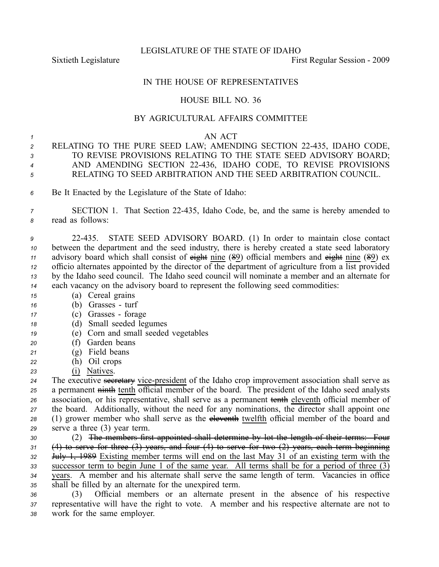LEGISLATURE OF THE STATE OF IDAHO

Sixtieth Legislature **First** Regular Session - 2009

## IN THE HOUSE OF REPRESENTATIVES

## HOUSE BILL NO. 36

# BY AGRICULTURAL AFFAIRS COMMITTEE

#### *<sup>1</sup>* AN ACT

- *<sup>2</sup>* RELATING TO THE PURE SEED LAW; AMENDING SECTION 22435, IDAHO CODE, *<sup>3</sup>* TO REVISE PROVISIONS RELATING TO THE STATE SEED ADVISORY BOARD; *<sup>4</sup>* AND AMENDING SECTION 22436, IDAHO CODE, TO REVISE PROVISIONS *<sup>5</sup>* RELATING TO SEED ARBITRATION AND THE SEED ARBITRATION COUNCIL.
- *<sup>6</sup>* Be It Enacted by the Legislature of the State of Idaho:
- *<sup>7</sup>* SECTION 1. That Section 22435, Idaho Code, be, and the same is hereby amended to *<sup>8</sup>* read as follows:

 22435. STATE SEED ADVISORY BOARD. (1) In order to maintain close contact between the department and the seed industry, there is hereby created <sup>a</sup> state seed laboratory 11 advisory board which shall consist of eight nine (89) official members and eight nine (89) ex officio alternates appointed by the director of the department of agriculture from <sup>a</sup> list provided by the Idaho seed council. The Idaho seed council will nominate <sup>a</sup> member and an alternate for each vacancy on the advisory board to represen<sup>t</sup> the following seed commodities:

- *<sup>15</sup>* (a) Cereal grains
- *<sup>16</sup>* (b) Grasses turf
- *<sup>17</sup>* (c) Grasses forage
- *<sup>18</sup>* (d) Small seeded legumes
- *<sup>19</sup>* (e) Corn and small seeded vegetables
- *<sup>20</sup>* (f) Garden beans
- *<sup>21</sup>* (g) Field beans
- *<sup>22</sup>* (h) Oil crops
- *<sup>23</sup>* (i) Natives.

24 The executive secretary vice-president of the Idaho crop improvement association shall serve as 25 a permanent ninth tenth official member of the board. The president of the Idaho seed analysts association, or his representative, shall serve as <sup>a</sup> permanen<sup>t</sup> tenth eleventh official member of the board. Additionally, without the need for any nominations, the director shall appoint one (1) grower member who shall serve as the eleventh twelfth official member of the board and serve <sup>a</sup> three (3) year term.

 (2) The members first appointed shall determine by lot the length of their terms: Four (4) to serve for three (3) years, and four (4) to serve for two (2) years, each term beginning July 1, 1989 Existing member terms will end on the last May 31 of an existing term with the successor term to begin June 1 of the same year. All terms shall be for <sup>a</sup> period of three (3) years. A member and his alternate shall serve the same length of term. Vacancies in office shall be filled by an alternate for the unexpired term.

*<sup>36</sup>* (3) Official members or an alternate presen<sup>t</sup> in the absence of his respective *<sup>37</sup>* representative will have the right to vote. A member and his respective alternate are not to *<sup>38</sup>* work for the same employer.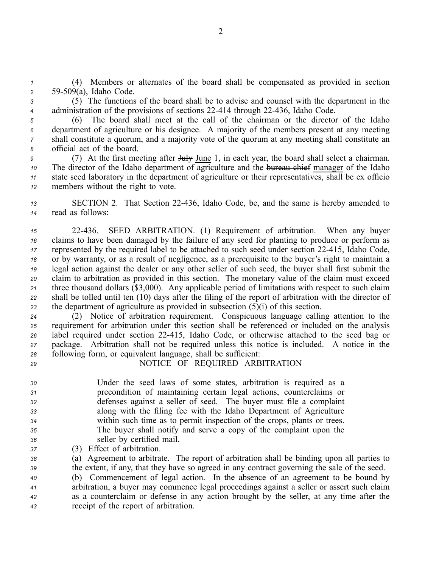*<sup>1</sup>* (4) Members or alternates of the board shall be compensated as provided in section *<sup>2</sup>* 59509(a), Idaho Code.

*<sup>3</sup>* (5) The functions of the board shall be to advise and counsel with the department in the <sup>4</sup> administration of the provisions of sections 22-414 through 22-436, Idaho Code.

 (6) The board shall meet at the call of the chairman or the director of the Idaho department of agriculture or his designee. A majority of the members presen<sup>t</sup> at any meeting shall constitute <sup>a</sup> quorum, and <sup>a</sup> majority vote of the quorum at any meeting shall constitute an official act of the board.

 (7) At the first meeting after <del>July</del> June 1, in each year, the board shall select a chairman. The director of the Idaho department of agriculture and the bureau chief manager of the Idaho state seed laboratory in the department of agriculture or their representatives, shall be ex officio members without the right to vote.

*<sup>13</sup>* SECTION 2. That Section 22436, Idaho Code, be, and the same is hereby amended to *<sup>14</sup>* read as follows:

 22436. SEED ARBITRATION. (1) Requirement of arbitration. When any buyer claims to have been damaged by the failure of any seed for planting to produce or perform as represented by the required label to be attached to such seed under section 22-415, Idaho Code, or by warranty, or as <sup>a</sup> result of negligence, as <sup>a</sup> prerequisite to the buyer's right to maintain <sup>a</sup> legal action against the dealer or any other seller of such seed, the buyer shall first submit the claim to arbitration as provided in this section. The monetary value of the claim must exceed three thousand dollars (\$3,000). Any applicable period of limitations with respec<sup>t</sup> to such claim shall be tolled until ten (10) days after the filing of the repor<sup>t</sup> of arbitration with the director of the department of agriculture as provided in subsection (5)(i) of this section.

 (2) Notice of arbitration requirement. Conspicuous language calling attention to the requirement for arbitration under this section shall be referenced or included on the analysis label required under section 22415, Idaho Code, or otherwise attached to the seed bag or package. Arbitration shall not be required unless this notice is included. A notice in the following form, or equivalent language, shall be sufficient:

# *<sup>29</sup>* NOTICE OF REQUIRED ARBITRATION

 Under the seed laws of some states, arbitration is required as <sup>a</sup> precondition of maintaining certain legal actions, counterclaims or defenses against <sup>a</sup> seller of seed. The buyer must file <sup>a</sup> complaint along with the filing fee with the Idaho Department of Agriculture within such time as to permit inspection of the crops, plants or trees. The buyer shall notify and serve <sup>a</sup> copy of the complaint upon the seller by certified mail.

*<sup>37</sup>* (3) Effect of arbitration.

 (a) Agreement to arbitrate. The repor<sup>t</sup> of arbitration shall be binding upon all parties to the extent, if any, that they have so agreed in any contract governing the sale of the seed. (b) Commencement of legal action. In the absence of an agreemen<sup>t</sup> to be bound by arbitration, <sup>a</sup> buyer may commence legal proceedings against <sup>a</sup> seller or assert such claim as <sup>a</sup> counterclaim or defense in any action brought by the seller, at any time after the receipt of the repor<sup>t</sup> of arbitration.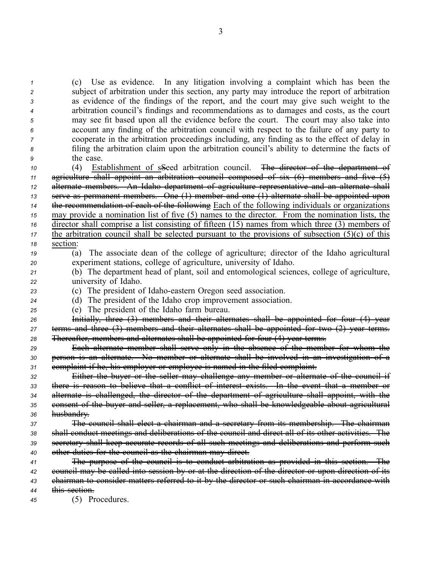subject of arbitration under this section, any party may introduce the repor<sup>t</sup> of arbitration as evidence of the findings of the report, and the court may give such weight to the arbitration council's findings and recommendations as to damages and costs, as the court may see fit based upon all the evidence before the court. The court may also take into account any finding of the arbitration council with respec<sup>t</sup> to the failure of any party to cooperate in the arbitration proceedings including, any finding as to the effect of delay in filing the arbitration claim upon the arbitration council's ability to determine the facts of the case. (4) Establishment of sSeed arbitration council. The director of the department of agriculture shall appoint an arbitration council composed of six (6) members and five (5) alternate members. An Idaho department of agriculture representative and an alternate shall serve as permanen<sup>t</sup> members. One (1) member and one (1) alternate shall be appointed upon the recommendation of each of the following Each of the following individuals or organizations may provide <sup>a</sup> nomination list of five (5) names to the director. From the nomination lists, the director shall comprise <sup>a</sup> list consisting of fifteen (15) names from which three (3) members of the arbitration council shall be <u>selected pursuant to the provisions of subsection (5)(c) of this</u> *<sup>18</sup>* section: (a) The associate dean of the college of agriculture; director of the Idaho agricultural experiment stations, college of agriculture, university of Idaho. (b) The department head of plant, soil and entomological sciences, college of agriculture, university of Idaho. 23 (c) The president of Idaho-eastern Oregon seed association. (d) The president of the Idaho crop improvement association. (e) The president of the Idaho farm bureau. Initially, three (3) members and their alternates shall be appointed for four (4) year terms and three (3) members and their alternates shall be appointed for two (2) year terms. Thereafter, members and alternates shall be appointed for four (4) year terms. Each alternate member shall serve only in the absence of the member for whom the person is an alternate. No member or alternate shall be involved in an investigation of <sup>a</sup> complaint if he, his employer or employee is named in the filed complaint. Either the buyer or the seller may challenge any member or alternate of the council if there is reason to believe that <sup>a</sup> conflict of interest exists. In the event that <sup>a</sup> member or alternate is challenged, the director of the department of agriculture shall appoint, with the consent of the buyer and seller, <sup>a</sup> replacement, who shall be knowledgeable about agricultural husbandry. The council shall elect <sup>a</sup> chairman and <sup>a</sup> secretary from its membership. The chairman shall conduct meetings and deliberations of the council and direct all of its other activities. The secretary shall keep accurate records of all such meetings and deliberations and perform such other duties for the council as the chairman may direct. The purpose of the council is to conduct arbitration as provided in this section. The council may be called into session by or at the direction of the director or upon direction of its chairman to consider matters referred to it by the director or such chairman in accordance with this section. (5) Procedures.

*<sup>1</sup>* (c) Use as evidence. In any litigation involving <sup>a</sup> complaint which has been the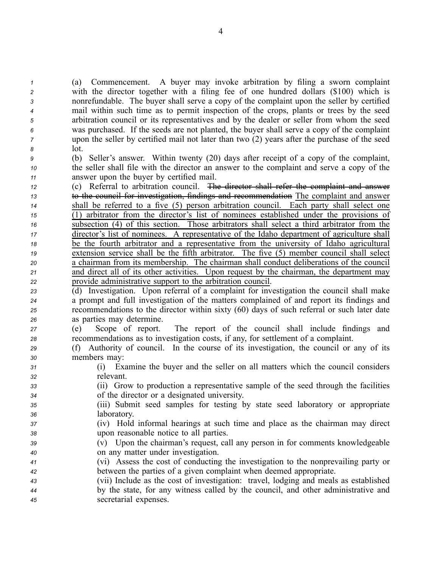(a) Commencement. A buyer may invoke arbitration by filing <sup>a</sup> sworn complaint with the director together with <sup>a</sup> filing fee of one hundred dollars (\$100) which is nonrefundable. The buyer shall serve <sup>a</sup> copy of the complaint upon the seller by certified mail within such time as to permit inspection of the crops, plants or trees by the seed arbitration council or its representatives and by the dealer or seller from whom the seed was purchased. If the seeds are not planted, the buyer shall serve <sup>a</sup> copy of the complaint upon the seller by certified mail not later than two (2) years after the purchase of the seed *<sup>8</sup>* lot.

*<sup>9</sup>* (b) Seller's answer. Within twenty (20) days after receipt of <sup>a</sup> copy of the complaint, *<sup>10</sup>* the seller shall file with the director an answer to the complaint and serve <sup>a</sup> copy of the *<sup>11</sup>* answer upon the buyer by certified mail.

 (c) Referral to arbitration council. The director shall refer the complaint and answer to the council for investigation, findings and recommendation The complaint and answer shall be referred to <sup>a</sup> five (5) person arbitration council. Each party shall select one (1) arbitrator from the director's list of nominees established under the provisions of subsection (4) of this section. Those arbitrators shall select <sup>a</sup> third arbitrator from the director's list of nominees. A representative of the Idaho department of agriculture shall be the fourth arbitrator and <sup>a</sup> representative from the university of Idaho agricultural 19 extension service shall be the fifth arbitrator. The five (5) member council shall select <sup>a</sup> chairman from its membership. The chairman shall conduct deliberations of the council and direct all of its other activities. Upon reques<sup>t</sup> by the chairman, the department may provide administrative suppor<sup>t</sup> to the arbitration council.

 (d) Investigation. Upon referral of <sup>a</sup> complaint for investigation the council shall make <sup>a</sup> promp<sup>t</sup> and full investigation of the matters complained of and repor<sup>t</sup> its findings and recommendations to the director within sixty (60) days of such referral or such later date as parties may determine.

*<sup>27</sup>* (e) Scope of report. The repor<sup>t</sup> of the council shall include findings and *<sup>28</sup>* recommendations as to investigation costs, if any, for settlement of <sup>a</sup> complaint.

- *<sup>29</sup>* (f) Authority of council. In the course of its investigation, the council or any of its *<sup>30</sup>* members may:
- *<sup>31</sup>* (i) Examine the buyer and the seller on all matters which the council considers *<sup>32</sup>* relevant.
- *<sup>33</sup>* (ii) Grow to production <sup>a</sup> representative sample of the seed through the facilities *<sup>34</sup>* of the director or <sup>a</sup> designated university.
- *<sup>35</sup>* (iii) Submit seed samples for testing by state seed laboratory or appropriate *<sup>36</sup>* laboratory.
- *<sup>37</sup>* (iv) Hold informal hearings at such time and place as the chairman may direct *<sup>38</sup>* upon reasonable notice to all parties.
- *<sup>39</sup>* (v) Upon the chairman's request, call any person in for comments knowledgeable *<sup>40</sup>* on any matter under investigation.
- *<sup>41</sup>* (vi) Assess the cost of conducting the investigation to the nonprevailing party or *<sup>42</sup>* between the parties of <sup>a</sup> given complaint when deemed appropriate.
- *<sup>43</sup>* (vii) Include as the cost of investigation: travel, lodging and meals as established *<sup>44</sup>* by the state, for any witness called by the council, and other administrative and *<sup>45</sup>* secretarial expenses.